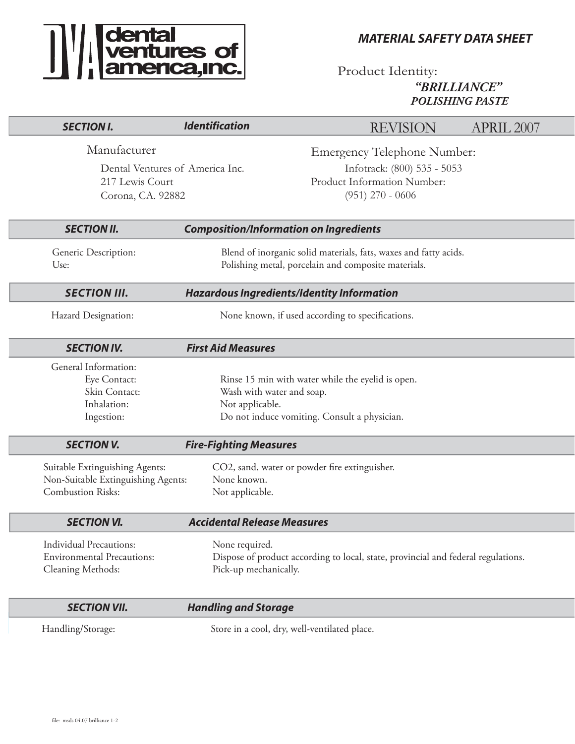

*MATERIAL SAFETY DATA SHEET*

Product Identity: *"BRILLIANCE" POLISHING PASTE*

| <b>SECTION I.</b>                                                                                | <b>Identification</b>                                                                                                   | <b>REVISION</b>                                                                                                        | APRIL 2007 |  |
|--------------------------------------------------------------------------------------------------|-------------------------------------------------------------------------------------------------------------------------|------------------------------------------------------------------------------------------------------------------------|------------|--|
| Manufacturer<br>Dental Ventures of America Inc.<br>217 Lewis Court<br>Corona, CA. 92882          |                                                                                                                         | <b>Emergency Telephone Number:</b><br>Infotrack: (800) 535 - 5053<br>Product Information Number:<br>$(951)$ 270 - 0606 |            |  |
| <b>SECTION II.</b>                                                                               |                                                                                                                         | <b>Composition/Information on Ingredients</b>                                                                          |            |  |
| Generic Description:<br>Use:                                                                     | Blend of inorganic solid materials, fats, waxes and fatty acids.<br>Polishing metal, porcelain and composite materials. |                                                                                                                        |            |  |
| <b>SECTION III.</b>                                                                              | <b>Hazardous Ingredients/Identity Information</b>                                                                       |                                                                                                                        |            |  |
| Hazard Designation:                                                                              |                                                                                                                         | None known, if used according to specifications.                                                                       |            |  |
| <b>SECTION IV.</b>                                                                               | <b>First Aid Measures</b>                                                                                               |                                                                                                                        |            |  |
| General Information:<br>Eye Contact:<br>Skin Contact:<br>Inhalation:<br>Ingestion:               | Wash with water and soap.<br>Not applicable.                                                                            | Rinse 15 min with water while the eyelid is open.<br>Do not induce vomiting. Consult a physician.                      |            |  |
| <b>SECTION V.</b>                                                                                | <b>Fire-Fighting Measures</b>                                                                                           |                                                                                                                        |            |  |
| Suitable Extinguishing Agents:<br>Non-Suitable Extinguishing Agents:<br><b>Combustion Risks:</b> | CO2, sand, water or powder fire extinguisher.<br>None known.<br>Not applicable.                                         |                                                                                                                        |            |  |
| <b>SECTION VI.</b>                                                                               | <b>Accidental Release Measures</b>                                                                                      |                                                                                                                        |            |  |
| <b>Individual Precautions:</b><br><b>Environmental Precautions:</b><br>Cleaning Methods:         | None required.<br>Pick-up mechanically.                                                                                 | Dispose of product according to local, state, provincial and federal regulations.                                      |            |  |
| <b>SECTION VII.</b>                                                                              | <b>Handling and Storage</b>                                                                                             |                                                                                                                        |            |  |
| Handling/Storage:                                                                                | Store in a cool, dry, well-ventilated place.                                                                            |                                                                                                                        |            |  |